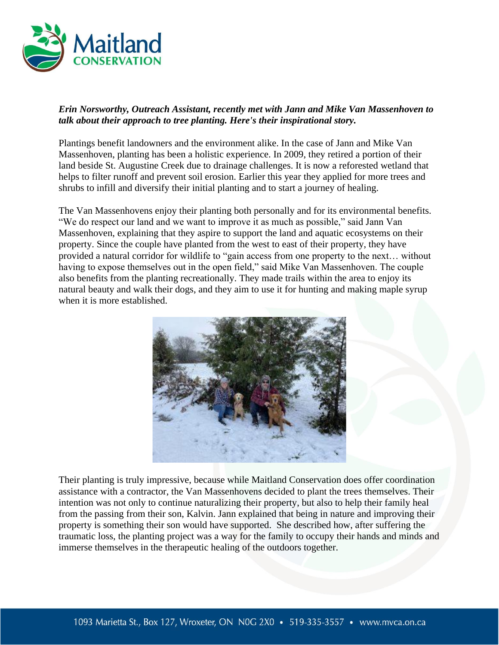

## *Erin Norsworthy, Outreach Assistant, recently met with Jann and Mike Van Massenhoven to talk about their approach to tree planting. Here's their inspirational story.*

Plantings benefit landowners and the environment alike. In the case of Jann and Mike Van Massenhoven, planting has been a holistic experience. In 2009, they retired a portion of their land beside St. Augustine Creek due to drainage challenges. It is now a reforested wetland that helps to filter runoff and prevent soil erosion. Earlier this year they applied for more trees and shrubs to infill and diversify their initial planting and to start a journey of healing.

The Van Massenhovens enjoy their planting both personally and for its environmental benefits. "We do respect our land and we want to improve it as much as possible," said Jann Van Massenhoven, explaining that they aspire to support the land and aquatic ecosystems on their property. Since the couple have planted from the west to east of their property, they have provided a natural corridor for wildlife to "gain access from one property to the next… without having to expose themselves out in the open field," said Mike Van Massenhoven. The couple also benefits from the planting recreationally. They made trails within the area to enjoy its natural beauty and walk their dogs, and they aim to use it for hunting and making maple syrup when it is more established.



Their planting is truly impressive, because while Maitland Conservation does offer coordination assistance with a contractor, the Van Massenhovens decided to plant the trees themselves. Their intention was not only to continue naturalizing their property, but also to help their family heal from the passing from their son, Kalvin. Jann explained that being in nature and improving their property is something their son would have supported. She described how, after suffering the traumatic loss, the planting project was a way for the family to occupy their hands and minds and immerse themselves in the therapeutic healing of the outdoors together.